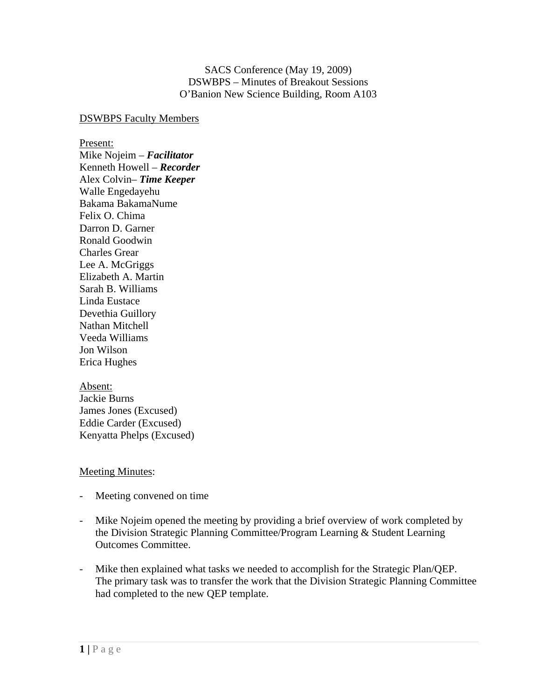SACS Conference (May 19, 2009) DSWBPS – Minutes of Breakout Sessions O'Banion New Science Building, Room A103

## DSWBPS Faculty Members

Present:

Mike Nojeim – *Facilitator* Kenneth Howell – *Recorder* Alex Colvin– *Time Keeper* Walle Engedayehu Bakama BakamaNume Felix O. Chima Darron D. Garner Ronald Goodwin Charles Grear Lee A. McGriggs Elizabeth A. Martin Sarah B. Williams Linda Eustace Devethia Guillory Nathan Mitchell Veeda Williams Jon Wilson Erica Hughes

## Absent:

Jackie Burns James Jones (Excused) Eddie Carder (Excused) Kenyatta Phelps (Excused)

## Meeting Minutes:

- Meeting convened on time
- Mike Nojeim opened the meeting by providing a brief overview of work completed by the Division Strategic Planning Committee/Program Learning & Student Learning Outcomes Committee.
- Mike then explained what tasks we needed to accomplish for the Strategic Plan/QEP. The primary task was to transfer the work that the Division Strategic Planning Committee had completed to the new QEP template.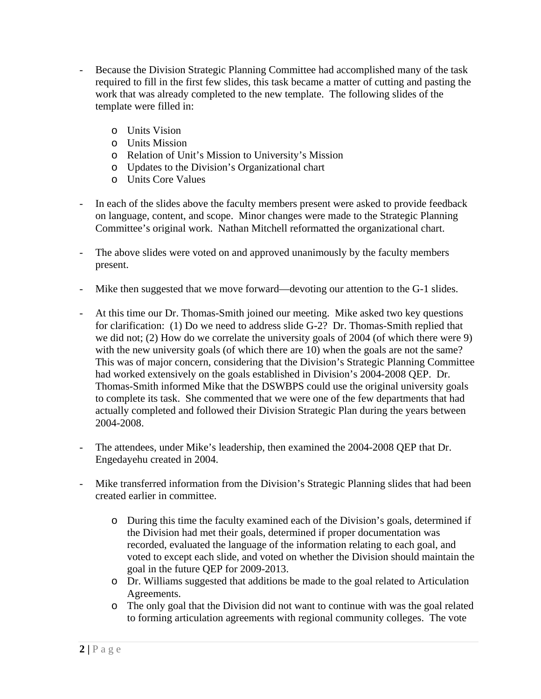- Because the Division Strategic Planning Committee had accomplished many of the task required to fill in the first few slides, this task became a matter of cutting and pasting the work that was already completed to the new template. The following slides of the template were filled in:
	- o Units Vision
	- o Units Mission
	- o Relation of Unit's Mission to University's Mission
	- o Updates to the Division's Organizational chart
	- o Units Core Values
- In each of the slides above the faculty members present were asked to provide feedback on language, content, and scope. Minor changes were made to the Strategic Planning Committee's original work. Nathan Mitchell reformatted the organizational chart.
- The above slides were voted on and approved unanimously by the faculty members present.
- Mike then suggested that we move forward—devoting our attention to the G-1 slides.
- At this time our Dr. Thomas-Smith joined our meeting. Mike asked two key questions for clarification: (1) Do we need to address slide G-2? Dr. Thomas-Smith replied that we did not; (2) How do we correlate the university goals of 2004 (of which there were 9) with the new university goals (of which there are 10) when the goals are not the same? This was of major concern, considering that the Division's Strategic Planning Committee had worked extensively on the goals established in Division's 2004-2008 QEP. Dr. Thomas-Smith informed Mike that the DSWBPS could use the original university goals to complete its task. She commented that we were one of the few departments that had actually completed and followed their Division Strategic Plan during the years between 2004-2008.
- The attendees, under Mike's leadership, then examined the 2004-2008 QEP that Dr. Engedayehu created in 2004.
- Mike transferred information from the Division's Strategic Planning slides that had been created earlier in committee.
	- o During this time the faculty examined each of the Division's goals, determined if the Division had met their goals, determined if proper documentation was recorded, evaluated the language of the information relating to each goal, and voted to except each slide, and voted on whether the Division should maintain the goal in the future QEP for 2009-2013.
	- o Dr. Williams suggested that additions be made to the goal related to Articulation Agreements.
	- o The only goal that the Division did not want to continue with was the goal related to forming articulation agreements with regional community colleges. The vote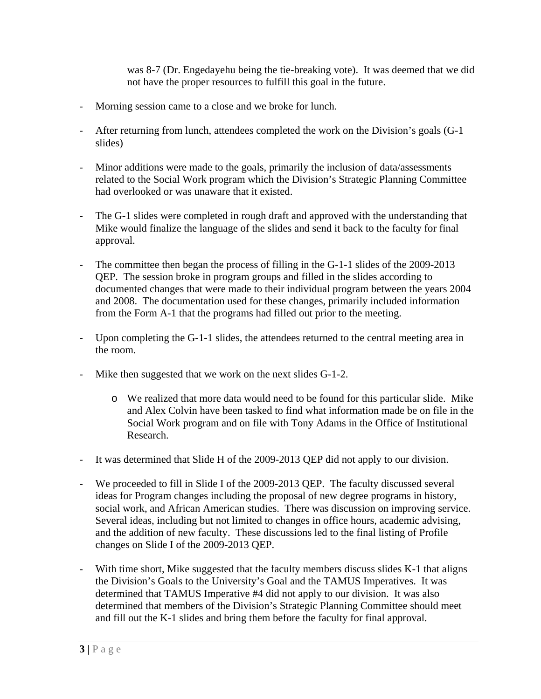was 8-7 (Dr. Engedayehu being the tie-breaking vote). It was deemed that we did not have the proper resources to fulfill this goal in the future.

- Morning session came to a close and we broke for lunch.
- After returning from lunch, attendees completed the work on the Division's goals (G-1 slides)
- Minor additions were made to the goals, primarily the inclusion of data/assessments related to the Social Work program which the Division's Strategic Planning Committee had overlooked or was unaware that it existed.
- The G-1 slides were completed in rough draft and approved with the understanding that Mike would finalize the language of the slides and send it back to the faculty for final approval.
- The committee then began the process of filling in the G-1-1 slides of the 2009-2013 QEP. The session broke in program groups and filled in the slides according to documented changes that were made to their individual program between the years 2004 and 2008. The documentation used for these changes, primarily included information from the Form A-1 that the programs had filled out prior to the meeting.
- Upon completing the G-1-1 slides, the attendees returned to the central meeting area in the room.
- Mike then suggested that we work on the next slides G-1-2.
	- o We realized that more data would need to be found for this particular slide. Mike and Alex Colvin have been tasked to find what information made be on file in the Social Work program and on file with Tony Adams in the Office of Institutional Research.
- It was determined that Slide H of the 2009-2013 QEP did not apply to our division.
- We proceeded to fill in Slide I of the 2009-2013 QEP. The faculty discussed several ideas for Program changes including the proposal of new degree programs in history, social work, and African American studies. There was discussion on improving service. Several ideas, including but not limited to changes in office hours, academic advising, and the addition of new faculty. These discussions led to the final listing of Profile changes on Slide I of the 2009-2013 QEP.
- With time short, Mike suggested that the faculty members discuss slides K-1 that aligns the Division's Goals to the University's Goal and the TAMUS Imperatives. It was determined that TAMUS Imperative #4 did not apply to our division. It was also determined that members of the Division's Strategic Planning Committee should meet and fill out the K-1 slides and bring them before the faculty for final approval.